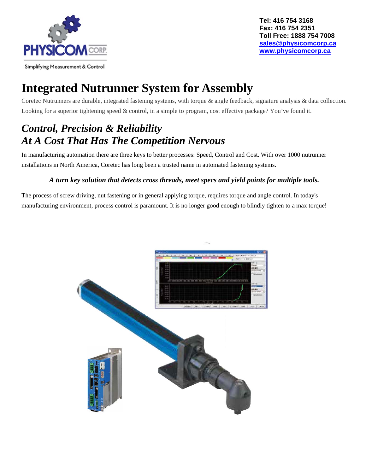

# **Integrated Nutrunner System for Assembly**

Coretec Nutrunners are durable, integrated fastening systems, with torque & angle feedback, signature analysis & data collection. Looking for a superior tightening speed & control, in a simple to program, cost effective package? You've found it.

#### *Control, Precision & Reliability At A Cost That Has The Competition Nervous*

In manufacturing automation there are three keys to better processes: Speed, Control and Cost. With over 1000 nutrunner installations in North America, Coretec has long been a trusted name in automated fastening systems.

#### *A turn key solution that detects cross threads, meet specs and yield points for multiple tools.*

The process of screw driving, nut fastening or in general applying torque, requires torque and angle control. In today's manufacturing environment, process control is paramount. It is no longer good enough to blindly tighten to a max torque!

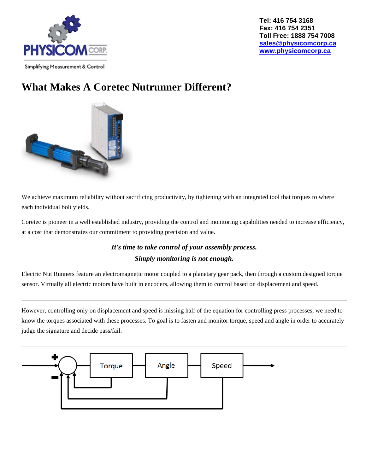

### **What Makes A Coretec Nutrunner Different?**



We achieve maximum reliability without sacrificing productivity, by tightening with an integrated tool that torques to where each individual bolt yields.

Coretec is pioneer in a well established industry, providing the control and monitoring capabilities needed to increase efficiency, at a cost that demonstrates our commitment to providing precision and value.

#### *It's time to take control of your assembly process. Simply monitoring is not enough.*

Electric Nut Runners feature an electromagnetic motor coupled to a planetary gear pack, then through a custom designed torque sensor. Virtually all electric motors have built in encoders, allowing them to control based on displacement and speed.

However, controlling only on displacement and speed is missing half of the equation for controlling press processes, we need to know the torques associated with these processes. To goal is to fasten and monitor torque, speed and angle in order to accurately judge the signature and decide pass/fail.

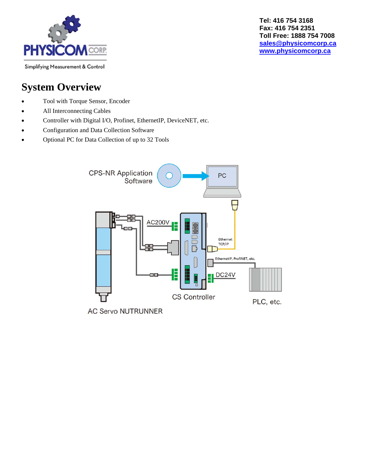

### **System Overview**

- Tool with Torque Sensor, Encoder
- All Interconnecting Cables
- Controller with Digital I/O, Profinet, EthernetIP, DeviceNET, etc.
- Configuration and Data Collection Software
- Optional PC for Data Collection of up to 32 Tools



**AC Servo NUTRUNNER**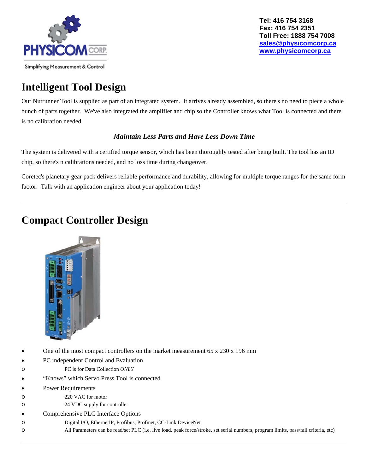

### **Intelligent Tool Design**

Our Nutrunner Tool is supplied as part of an integrated system. It arrives already assembled, so there's no need to piece a whole bunch of parts together. We've also integrated the amplifier and chip so the Controller knows what Tool is connected and there is no calibration needed.

#### *Maintain Less Parts and Have Less Down Time*

The system is delivered with a certified torque sensor, which has been thoroughly tested after being built. The tool has an ID chip, so there's n calibrations needed, and no loss time during changeover.

Coretec's planetary gear pack delivers reliable performance and durability, allowing for multiple torque ranges for the same form factor. Talk with an application engineer about your application today!

#### **Compact Controller Design**



- One of the most compact controllers on the market measurement 65 x 230 x 196 mm
- PC independent Control and Evaluation
- o PC is for Data Collection *ONLY*
- "Knows" which Servo Press Tool is connected
- Power Requirements
- o 220 VAC for motor
- o 24 VDC supply for controller
- Comprehensive PLC Interface Options
- o Digital I/O, EthernetIP, Profibus, Profinet, CC-Link DeviceNet
- o All Parameters can be read/set PLC (i.e. live load, peak force/stroke, set serial numbers, program limits, pass/fail criteria, etc)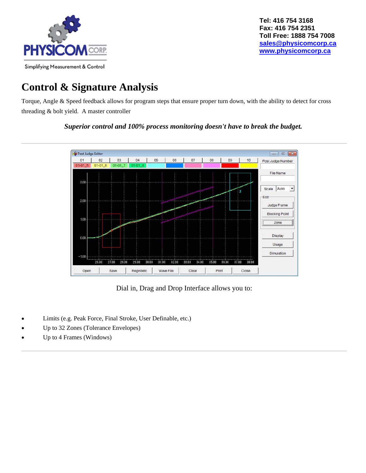

## **Control & Signature Analysis**

Torque, Angle & Speed feedback allows for program steps that ensure proper turn down, with the ability to detect for cross threading & bolt yield. A master controller

*Superior control and 100% process monitoring doesn't have to break the budget.* 



Dial in, Drag and Drop Interface allows you to:

- Limits (e.g. Peak Force, Final Stroke, User Definable, etc.)
- Up to 32 Zones (Tolerance Envelopes)
- Up to 4 Frames (Windows)